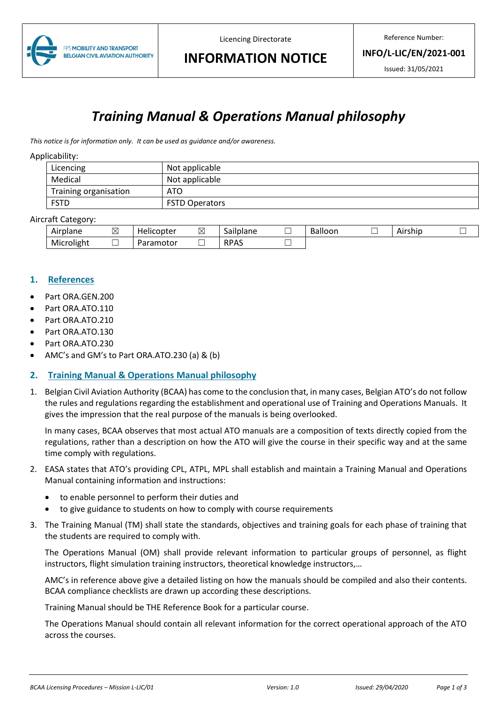

Licencing Directorate

Reference Number:

**INFO/L-LIC/EN/2021-001**

Issued: 31/05/2021

# **INFORMATION NOTICE**

# *Training Manual & Operations Manual philosophy*

*This notice is for information only. It can be used as guidance and/or awareness.*

#### Applicability:

| Licencing             | Not applicable        |
|-----------------------|-----------------------|
| Medical               | Not applicable        |
| Training organisation | ATO                   |
| <b>FSTD</b>           | <b>FSTD Operators</b> |

#### Aircraft Category:

| . .<br>Airplane | –<br>$\boxtimes$ | <br>.licopter<br>Hei            | $-$<br>↖<br>▵ | $\overline{\phantom{a}}$<br>Sailplane | -<br><b>Balloon</b> | Airshic | _<br>─ |
|-----------------|------------------|---------------------------------|---------------|---------------------------------------|---------------------|---------|--------|
| Microlight      | ─                | ramotor<br>$\sim$<br>- 11<br>aı |               | <b>RPAS</b>                           |                     |         |        |

### **1. References**

- Part ORA.GEN.200
- Part ORA.ATO.110
- Part ORA.ATO.210
- Part ORA.ATO.130
- Part ORA.ATO.230
- AMC's and GM's to Part ORA.ATO.230 (a) & (b)

## **2. Training Manual & Operations Manual philosophy**

1. Belgian Civil Aviation Authority (BCAA) has come to the conclusion that, in many cases, Belgian ATO's do not follow the rules and regulations regarding the establishment and operational use of Training and Operations Manuals. It gives the impression that the real purpose of the manuals is being overlooked.

In many cases, BCAA observes that most actual ATO manuals are a composition of texts directly copied from the regulations, rather than a description on how the ATO will give the course in their specific way and at the same time comply with regulations.

- 2. EASA states that ATO's providing CPL, ATPL, MPL shall establish and maintain a Training Manual and Operations Manual containing information and instructions:
	- to enable personnel to perform their duties and
	- to give guidance to students on how to comply with course requirements
- 3. The Training Manual (TM) shall state the standards, objectives and training goals for each phase of training that the students are required to comply with.

The Operations Manual (OM) shall provide relevant information to particular groups of personnel, as flight instructors, flight simulation training instructors, theoretical knowledge instructors,…

AMC's in reference above give a detailed listing on how the manuals should be compiled and also their contents. BCAA compliance checklists are drawn up according these descriptions.

Training Manual should be THE Reference Book for a particular course.

The Operations Manual should contain all relevant information for the correct operational approach of the ATO across the courses.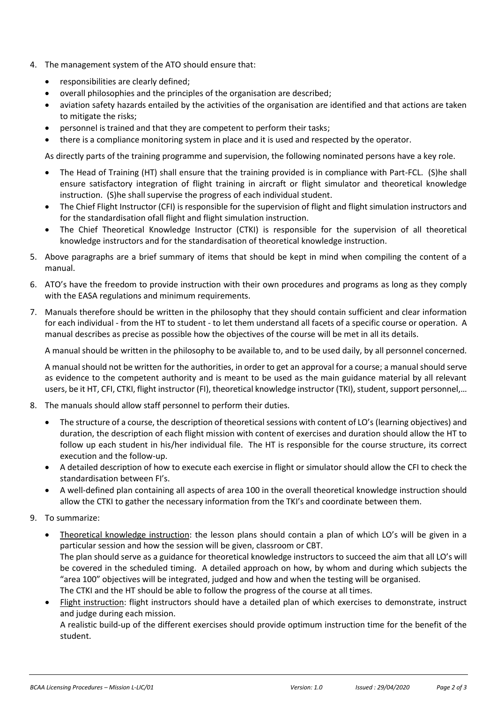- 4. The management system of the ATO should ensure that:
	- responsibilities are clearly defined;
	- overall philosophies and the principles of the organisation are described;
	- aviation safety hazards entailed by the activities of the organisation are identified and that actions are taken to mitigate the risks;
	- personnel is trained and that they are competent to perform their tasks;
	- there is a compliance monitoring system in place and it is used and respected by the operator.

As directly parts of the training programme and supervision, the following nominated persons have a key role.

- The Head of Training (HT) shall ensure that the training provided is in compliance with Part-FCL. (S)he shall ensure satisfactory integration of flight training in aircraft or flight simulator and theoretical knowledge instruction. (S)he shall supervise the progress of each individual student.
- The Chief Flight Instructor (CFI) is responsible for the supervision of flight and flight simulation instructors and for the standardisation ofall flight and flight simulation instruction.
- The Chief Theoretical Knowledge Instructor (CTKI) is responsible for the supervision of all theoretical knowledge instructors and for the standardisation of theoretical knowledge instruction.
- 5. Above paragraphs are a brief summary of items that should be kept in mind when compiling the content of a manual.
- 6. ATO's have the freedom to provide instruction with their own procedures and programs as long as they comply with the EASA regulations and minimum requirements.
- 7. Manuals therefore should be written in the philosophy that they should contain sufficient and clear information for each individual - from the HT to student - to let them understand all facets of a specific course or operation. A manual describes as precise as possible how the objectives of the course will be met in all its details.

A manual should be written in the philosophy to be available to, and to be used daily, by all personnel concerned.

A manual should not be written for the authorities, in order to get an approval for a course; a manual should serve as evidence to the competent authority and is meant to be used as the main guidance material by all relevant users, be it HT, CFI, CTKI, flight instructor (FI), theoretical knowledge instructor (TKI), student, support personnel,…

- 8. The manuals should allow staff personnel to perform their duties.
	- The structure of a course, the description of theoretical sessions with content of LO's (learning objectives) and duration, the description of each flight mission with content of exercises and duration should allow the HT to follow up each student in his/her individual file. The HT is responsible for the course structure, its correct execution and the follow-up.
	- A detailed description of how to execute each exercise in flight or simulator should allow the CFI to check the standardisation between FI's.
	- A well-defined plan containing all aspects of area 100 in the overall theoretical knowledge instruction should allow the CTKI to gather the necessary information from the TKI's and coordinate between them.
- 9. To summarize:
	- Theoretical knowledge instruction: the lesson plans should contain a plan of which LO's will be given in a particular session and how the session will be given, classroom or CBT. The plan should serve as a guidance for theoretical knowledge instructors to succeed the aim that all LO's will be covered in the scheduled timing. A detailed approach on how, by whom and during which subjects the "area 100" objectives will be integrated, judged and how and when the testing will be organised. The CTKI and the HT should be able to follow the progress of the course at all times.
	- Flight instruction: flight instructors should have a detailed plan of which exercises to demonstrate, instruct and judge during each mission.

A realistic build-up of the different exercises should provide optimum instruction time for the benefit of the student.